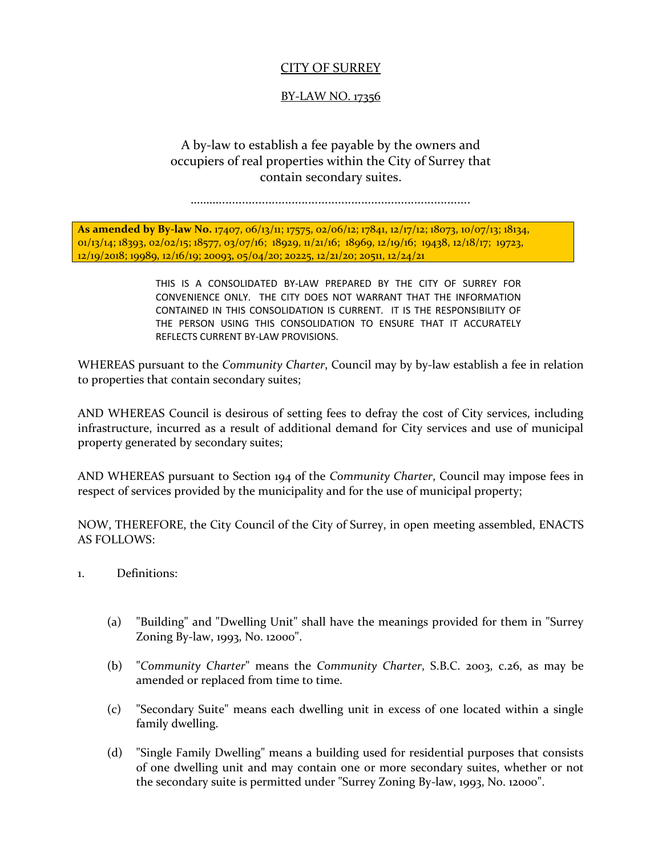## CITY OF SURREY

## BY-LAW NO. 17356

## A by-law to establish a fee payable by the owners and occupiers of real properties within the City of Surrey that contain secondary suites.

………............................................................................

**As amended by By-law No.** 17407, 06/13/11; 17575, 02/06/12; 17841, 12/17/12; 18073, 10/07/13; 18134, 01/13/14; 18393, 02/02/15; 18577, 03/07/16; 18929, 11/21/16; 18969, 12/19/16; 19438, 12/18/17; 19723, 12/19/2018; 19989, 12/16/19; 20093, 05/04/20; 20225, 12/21/20; 20511, 12/24/21

> THIS IS A CONSOLIDATED BY-LAW PREPARED BY THE CITY OF SURREY FOR CONVENIENCE ONLY. THE CITY DOES NOT WARRANT THAT THE INFORMATION CONTAINED IN THIS CONSOLIDATION IS CURRENT. IT IS THE RESPONSIBILITY OF THE PERSON USING THIS CONSOLIDATION TO ENSURE THAT IT ACCURATELY REFLECTS CURRENT BY-LAW PROVISIONS.

WHEREAS pursuant to the *Community Charter*, Council may by by-law establish a fee in relation to properties that contain secondary suites;

AND WHEREAS Council is desirous of setting fees to defray the cost of City services, including infrastructure, incurred as a result of additional demand for City services and use of municipal property generated by secondary suites;

AND WHEREAS pursuant to Section 194 of the *Community Charter*, Council may impose fees in respect of services provided by the municipality and for the use of municipal property;

NOW, THEREFORE, the City Council of the City of Surrey, in open meeting assembled, ENACTS AS FOLLOWS:

- 1. Definitions:
	- (a) "Building" and "Dwelling Unit" shall have the meanings provided for them in "Surrey Zoning By-law, 1993, No. 12000".
	- (b) "*Community Charter*" means the *Community Charter*, S.B.C. 2003, c.26, as may be amended or replaced from time to time.
	- (c) "Secondary Suite" means each dwelling unit in excess of one located within a single family dwelling.
	- (d) "Single Family Dwelling" means a building used for residential purposes that consists of one dwelling unit and may contain one or more secondary suites, whether or not the secondary suite is permitted under "Surrey Zoning By-law, 1993, No. 12000".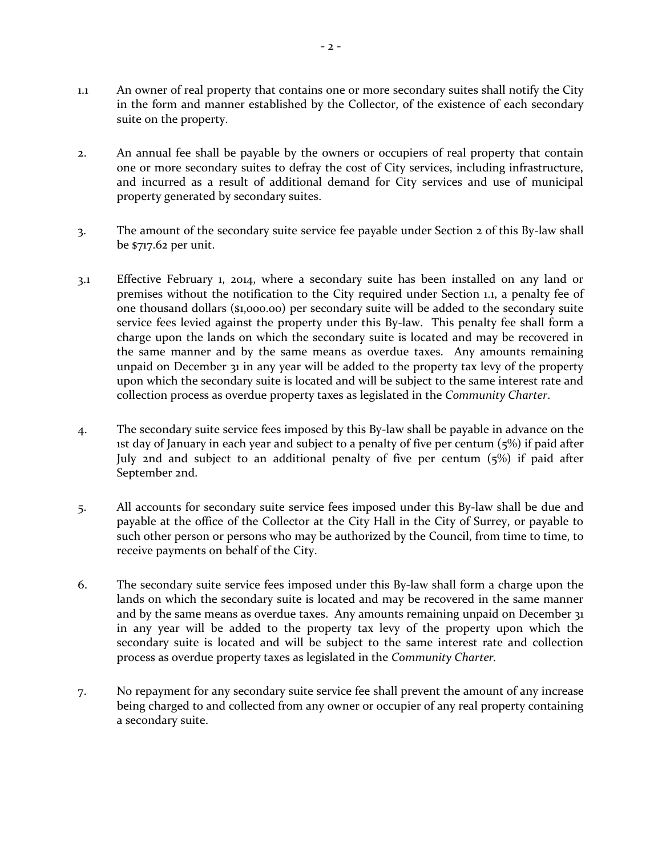- 1.1 An owner of real property that contains one or more secondary suites shall notify the City in the form and manner established by the Collector, of the existence of each secondary suite on the property.
- 2. An annual fee shall be payable by the owners or occupiers of real property that contain one or more secondary suites to defray the cost of City services, including infrastructure, and incurred as a result of additional demand for City services and use of municipal property generated by secondary suites.
- 3. The amount of the secondary suite service fee payable under Section 2 of this By-law shall be \$717.62 per unit.
- 3.1 Effective February 1, 2014, where a secondary suite has been installed on any land or premises without the notification to the City required under Section 1.1, a penalty fee of one thousand dollars (\$1,000.00) per secondary suite will be added to the secondary suite service fees levied against the property under this By-law. This penalty fee shall form a charge upon the lands on which the secondary suite is located and may be recovered in the same manner and by the same means as overdue taxes. Any amounts remaining unpaid on December 31 in any year will be added to the property tax levy of the property upon which the secondary suite is located and will be subject to the same interest rate and collection process as overdue property taxes as legislated in the *Community Charter*.
- 4. The secondary suite service fees imposed by this By-law shall be payable in advance on the 1st day of January in each year and subject to a penalty of five per centum  $(5%)$  if paid after July 2nd and subject to an additional penalty of five per centum (5%) if paid after September 2nd.
- 5. All accounts for secondary suite service fees imposed under this By-law shall be due and payable at the office of the Collector at the City Hall in the City of Surrey, or payable to such other person or persons who may be authorized by the Council, from time to time, to receive payments on behalf of the City.
- 6. The secondary suite service fees imposed under this By-law shall form a charge upon the lands on which the secondary suite is located and may be recovered in the same manner and by the same means as overdue taxes. Any amounts remaining unpaid on December 31 in any year will be added to the property tax levy of the property upon which the secondary suite is located and will be subject to the same interest rate and collection process as overdue property taxes as legislated in the *Community Charter.*
- 7. No repayment for any secondary suite service fee shall prevent the amount of any increase being charged to and collected from any owner or occupier of any real property containing a secondary suite.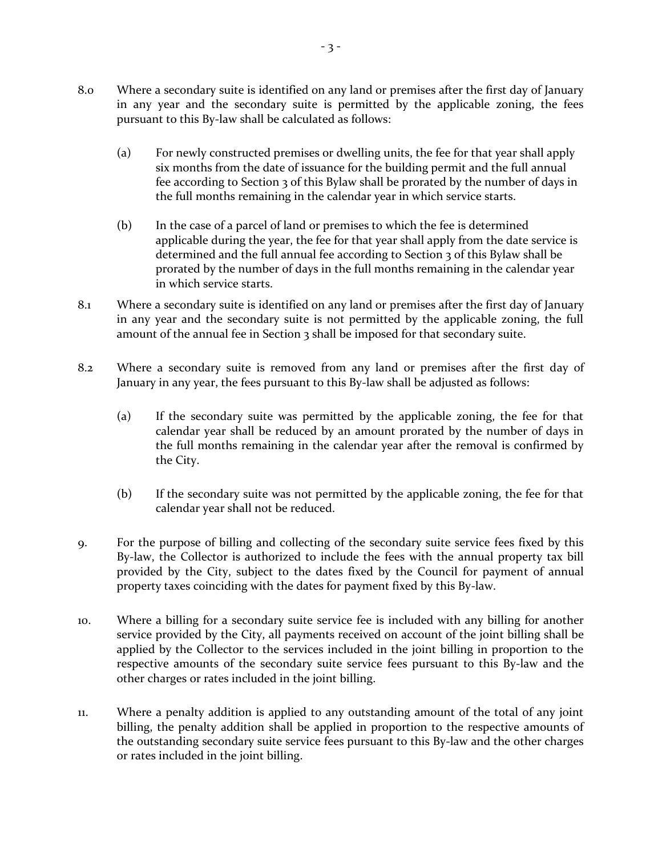- 8.0 Where a secondary suite is identified on any land or premises after the first day of January in any year and the secondary suite is permitted by the applicable zoning, the fees pursuant to this By-law shall be calculated as follows:
	- (a) For newly constructed premises or dwelling units, the fee for that year shall apply six months from the date of issuance for the building permit and the full annual fee according to Section 3 of this Bylaw shall be prorated by the number of days in the full months remaining in the calendar year in which service starts.
	- (b) In the case of a parcel of land or premises to which the fee is determined applicable during the year, the fee for that year shall apply from the date service is determined and the full annual fee according to Section 3 of this Bylaw shall be prorated by the number of days in the full months remaining in the calendar year in which service starts.
- 8.1 Where a secondary suite is identified on any land or premises after the first day of January in any year and the secondary suite is not permitted by the applicable zoning, the full amount of the annual fee in Section 3 shall be imposed for that secondary suite.
- 8.2 Where a secondary suite is removed from any land or premises after the first day of January in any year, the fees pursuant to this By-law shall be adjusted as follows:
	- (a) If the secondary suite was permitted by the applicable zoning, the fee for that calendar year shall be reduced by an amount prorated by the number of days in the full months remaining in the calendar year after the removal is confirmed by the City.
	- (b) If the secondary suite was not permitted by the applicable zoning, the fee for that calendar year shall not be reduced.
- 9. For the purpose of billing and collecting of the secondary suite service fees fixed by this By-law, the Collector is authorized to include the fees with the annual property tax bill provided by the City, subject to the dates fixed by the Council for payment of annual property taxes coinciding with the dates for payment fixed by this By-law.
- 10. Where a billing for a secondary suite service fee is included with any billing for another service provided by the City, all payments received on account of the joint billing shall be applied by the Collector to the services included in the joint billing in proportion to the respective amounts of the secondary suite service fees pursuant to this By-law and the other charges or rates included in the joint billing.
- 11. Where a penalty addition is applied to any outstanding amount of the total of any joint billing, the penalty addition shall be applied in proportion to the respective amounts of the outstanding secondary suite service fees pursuant to this By-law and the other charges or rates included in the joint billing.